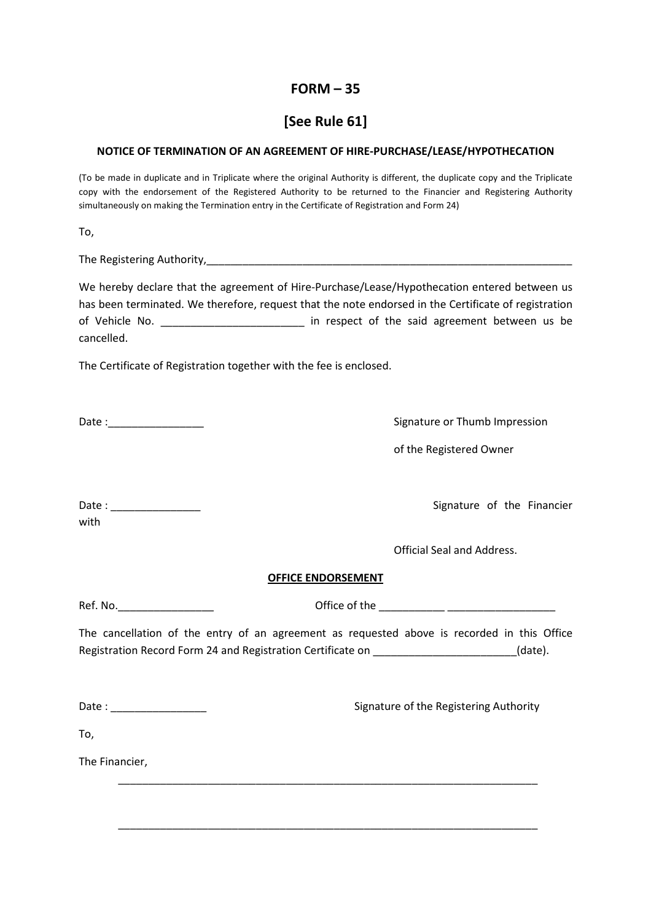## $FORM - 35$

## [See Rule 61]

## NOTICE OF TERMINATION OF AN AGREEMENT OF HIRE-PURCHASE/LEASE/HYPOTHECATION

(To be made in duplicate and in Triplicate where the original Authority is different, the duplicate copy and the Triplicate copy with the endorsement of the Registered Authority to be returned to the Financier and Registering Authority simultaneously on making the Termination entry in the Certificate of Registration and Form 24)

To,

The Registering Authority, The Registering Authority,

We hereby declare that the agreement of Hire-Purchase/Lease/Hypothecation entered between us has been terminated. We therefore, request that the note endorsed in the Certificate of registration of Vehicle No. \_\_\_\_\_\_\_\_\_\_\_\_\_\_\_\_\_\_\_\_\_\_\_\_\_\_\_ in respect of the said agreement between us be cancelled.

The Certificate of Registration together with the fee is enclosed.

Date : Letter that the state of the Signature or Thumb Impression

of the Registered Owner

Date : \_\_\_\_\_\_\_\_\_\_\_\_\_\_\_ Signature of the Financier with

Official Seal and Address.

## OFFICE ENDORSEMENT

Ref. No.\_\_\_\_\_\_\_\_\_\_\_\_\_\_\_\_ Office of the \_\_\_\_\_\_\_\_\_\_\_ \_\_\_\_\_\_\_\_\_\_\_\_\_\_\_\_\_\_

The cancellation of the entry of an agreement as requested above is recorded in this Office Registration Record Form 24 and Registration Certificate on \_\_\_\_\_\_\_\_\_\_\_\_\_\_\_\_\_\_\_\_\_(date).

\_\_\_\_\_\_\_\_\_\_\_\_\_\_\_\_\_\_\_\_\_\_\_\_\_\_\_\_\_\_\_\_\_\_\_\_\_\_\_\_\_\_\_\_\_\_\_\_\_\_\_\_\_\_\_\_\_\_\_\_\_\_\_\_\_\_\_\_\_\_

\_\_\_\_\_\_\_\_\_\_\_\_\_\_\_\_\_\_\_\_\_\_\_\_\_\_\_\_\_\_\_\_\_\_\_\_\_\_\_\_\_\_\_\_\_\_\_\_\_\_\_\_\_\_\_\_\_\_\_\_\_\_\_\_\_\_\_\_\_\_

Date : \_\_\_\_\_\_\_\_\_\_\_\_\_\_\_\_ Signature of the Registering Authority

To,

The Financier,